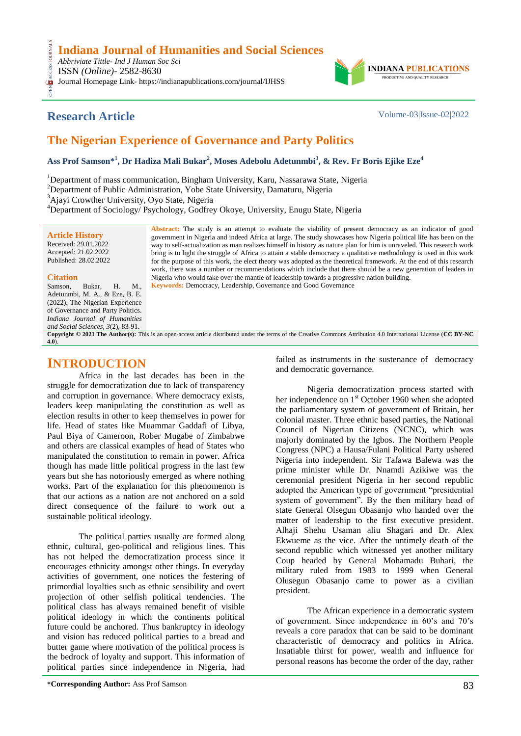*Abbriviate Tittle- Ind J Human Soc Sci* **CESS.** 

ISSN *(Online)*- 2582-8630

OPEN ACCESS JOURNALS Journal Homepage Link- https://indianapublications.com/journal/IJHSS



## **Research Article** Volume-03|Issue-02|2022

# **The Nigerian Experience of Governance and Party Politics**

**Ass Prof Samson\* 1 , Dr Hadiza Mali Bukar<sup>2</sup> , Moses Adebolu Adetunmbi<sup>3</sup> , & Rev. Fr Boris Ejike Eze<sup>4</sup>**

<sup>1</sup>Department of mass communication, Bingham University, Karu, Nassarawa State, Nigeria

<sup>2</sup>Department of Public Administration, Yobe State University, Damaturu, Nigeria

<sup>3</sup>Ajayi Crowther University, Oyo State, Nigeria

<sup>4</sup>Department of Sociology/ Psychology, Godfrey Okoye, University, Enugu State, Nigeria

| <b>Article History</b><br>Received: 29.01.2022<br>Accepted: 21.02.2022<br>Published: 28.02.2022                                                                            | Abstract: The study is an attempt to evaluate the viability of present democracy as an indicator of good<br>government in Nigeria and indeed Africa at large. The study showcases how Nigeria political life has been on the<br>way to self-actualization as man realizes himself in history as nature plan for him is unraveled. This research work<br>bring is to light the struggle of Africa to attain a stable democracy a qualitative methodology is used in this work<br>for the purpose of this work, the elect theory was adopted as the theoretical framework. At the end of this research<br>work, there was a number or recommendations which include that there should be a new generation of leaders in |
|----------------------------------------------------------------------------------------------------------------------------------------------------------------------------|-----------------------------------------------------------------------------------------------------------------------------------------------------------------------------------------------------------------------------------------------------------------------------------------------------------------------------------------------------------------------------------------------------------------------------------------------------------------------------------------------------------------------------------------------------------------------------------------------------------------------------------------------------------------------------------------------------------------------|
| <b>Citation</b>                                                                                                                                                            | Nigeria who would take over the mantle of leadership towards a progressive nation building.                                                                                                                                                                                                                                                                                                                                                                                                                                                                                                                                                                                                                           |
| M.<br>Н.<br>Samson,<br>Bukar.                                                                                                                                              | <b>Keywords:</b> Democracy, Leadership, Governance and Good Governance                                                                                                                                                                                                                                                                                                                                                                                                                                                                                                                                                                                                                                                |
| Adetunmbi, M. A., & Eze, B. E.                                                                                                                                             |                                                                                                                                                                                                                                                                                                                                                                                                                                                                                                                                                                                                                                                                                                                       |
| (2022). The Nigerian Experience                                                                                                                                            |                                                                                                                                                                                                                                                                                                                                                                                                                                                                                                                                                                                                                                                                                                                       |
| of Governance and Party Politics.                                                                                                                                          |                                                                                                                                                                                                                                                                                                                                                                                                                                                                                                                                                                                                                                                                                                                       |
| Indiana Journal of Humanities                                                                                                                                              |                                                                                                                                                                                                                                                                                                                                                                                                                                                                                                                                                                                                                                                                                                                       |
| and Social Sciences, $3(2)$ , 83-91.                                                                                                                                       |                                                                                                                                                                                                                                                                                                                                                                                                                                                                                                                                                                                                                                                                                                                       |
| <b>Copyright © 2021 The Author(s):</b> This is an open-access article distributed under the terms of the Creative Commons Attribution 4.0 International License (CC BY-NC) |                                                                                                                                                                                                                                                                                                                                                                                                                                                                                                                                                                                                                                                                                                                       |

## **INTRODUCTION**

**[4.0](https://creativecommons.org/licenses/by-nc/4.0/)**).

Africa in the last decades has been in the struggle for democratization due to lack of transparency and corruption in governance. Where democracy exists, leaders keep manipulating the constitution as well as election results in other to keep themselves in power for life. Head of states like Muammar Gaddafi of Libya, Paul Biya of Cameroon, Rober Mugabe of Zimbabwe and others are classical examples of head of States who manipulated the constitution to remain in power. Africa though has made little political progress in the last few years but she has notoriously emerged as where nothing works. Part of the explanation for this phenomenon is that our actions as a nation are not anchored on a sold direct consequence of the failure to work out a sustainable political ideology.

The political parties usually are formed along ethnic, cultural, geo-political and religious lines. This has not helped the democratization process since it encourages ethnicity amongst other things. In everyday activities of government, one notices the festering of primordial loyalties such as ethnic sensibility and overt projection of other selfish political tendencies. The political class has always remained benefit of visible political ideology in which the continents political future could be anchored. Thus bankruptcy in ideology and vision has reduced political parties to a bread and butter game where motivation of the political process is the bedrock of loyalty and support. This information of political parties since independence in Nigeria, had

failed as instruments in the sustenance of democracy and democratic governance.

Nigeria democratization process started with her independence on  $1<sup>st</sup>$  October 1960 when she adopted the parliamentary system of government of Britain, her colonial master. Three ethnic based parties, the National Council of Nigerian Citizens (NCNC), which was majorly dominated by the Igbos. The Northern People Congress (NPC) a Hausa/Fulani Political Party ushered Nigeria into independent. Sir Tafawa Balewa was the prime minister while Dr. Nnamdi Azikiwe was the ceremonial president Nigeria in her second republic adopted the American type of government "presidential system of government". By the then military head of state General Olsegun Obasanjo who handed over the matter of leadership to the first executive president. Alhaji Shehu Usaman aliu Shagari and Dr. Alex Ekwueme as the vice. After the untimely death of the second republic which witnessed yet another military Coup headed by General Mohamadu Buhari, the military ruled from 1983 to 1999 when General Olusegun Obasanjo came to power as a civilian president.

The African experience in a democratic system of government. Since independence in 60"s and 70"s reveals a core paradox that can be said to be dominant characteristic of democracy and politics in Africa. Insatiable thirst for power, wealth and influence for personal reasons has become the order of the day, rather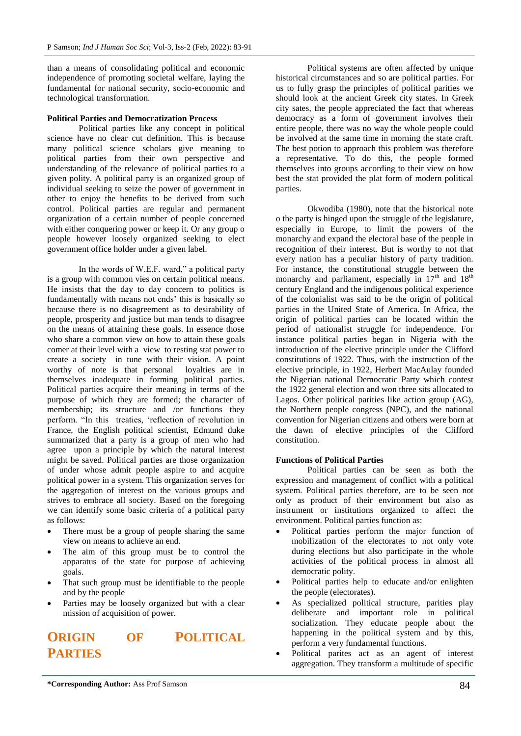than a means of consolidating political and economic independence of promoting societal welfare, laying the fundamental for national security, socio-economic and technological transformation.

#### **Political Parties and Democratization Process**

Political parties like any concept in political science have no clear cut definition. This is because many political science scholars give meaning to political parties from their own perspective and understanding of the relevance of political parties to a given polity. A political party is an organized group of individual seeking to seize the power of government in other to enjoy the benefits to be derived from such control. Political parties are regular and permanent organization of a certain number of people concerned with either conquering power or keep it. Or any group of people however loosely organized seeking to elect government office holder under a given label.

In the words of W.E.F. ward," a political party is a group with common vies on certain political means. He insists that the day to day concern to politics is fundamentally with means not ends" this is basically so because there is no disagreement as to desirability of people, prosperity and justice but man tends to disagree on the means of attaining these goals. In essence those who share a common view on how to attain these goals comer at their level with a view to resting stat power to create a society in tune with their vision. A point worthy of note is that personal loyalties are in themselves inadequate in forming political parties. Political parties acquire their meaning in terms of the purpose of which they are formed; the character of membership; its structure and /or functions they perform. "In this treaties, "reflection of revolution in France, the English political scientist, Edmund duke summarized that a party is a group of men who had agree upon a principle by which the natural interest might be saved. Political parties are those organization of under whose admit people aspire to and acquire political power in a system. This organization serves for the aggregation of interest on the various groups and strives to embrace all society. Based on the foregoing we can identify some basic criteria of a political party as follows:

- There must be a group of people sharing the same view on means to achieve an end.
- The aim of this group must be to control the apparatus of the state for purpose of achieving goals.
- That such group must be identifiable to the people and by the people
- Parties may be loosely organized but with a clear mission of acquisition of power.

# **ORIGIN OF POLITICAL PARTIES**

Political systems are often affected by unique historical circumstances and so are political parties. For us to fully grasp the principles of political parities we should look at the ancient Greek city states. In Greek city sates, the people appreciated the fact that whereas democracy as a form of government involves their entire people, there was no way the whole people could be involved at the same time in morning the state craft. The best potion to approach this problem was therefore a representative. To do this, the people formed themselves into groups according to their view on how best the stat provided the plat form of modern political parties.

Okwodiba (1980), note that the historical note o the party is hinged upon the struggle of the legislature, especially in Europe, to limit the powers of the monarchy and expand the electoral base of the people in recognition of their interest. But is worthy to not that every nation has a peculiar history of party tradition. For instance, the constitutional struggle between the monarchy and parliament, especially in  $17<sup>th</sup>$  and  $18<sup>th</sup>$ century England and the indigenous political experience of the colonialist was said to be the origin of political parties in the United State of America. In Africa, the origin of political parties can be located within the period of nationalist struggle for independence. For instance political parties began in Nigeria with the introduction of the elective principle under the Clifford constitutions of 1922. Thus, with the instruction of the elective principle, in 1922, Herbert MacAulay founded the Nigerian national Democratic Party which contest the 1922 general election and won three sits allocated to Lagos. Other political parities like action group (AG), the Northern people congress (NPC), and the national convention for Nigerian citizens and others were born at the dawn of elective principles of the Clifford constitution.

#### **Functions of Political Parties**

Political parties can be seen as both the expression and management of conflict with a political system. Political parties therefore, are to be seen not only as product of their environment but also as instrument or institutions organized to affect the environment. Political parties function as:

- Political parties perform the major function of mobilization of the electorates to not only vote during elections but also participate in the whole activities of the political process in almost all democratic polity.
- Political parties help to educate and/or enlighten the people (electorates).
- As specialized political structure, parities play deliberate and important role in political socialization. They educate people about the happening in the political system and by this, perform a very fundamental functions.
- Political parites act as an agent of interest aggregation. They transform a multitude of specific

**\*Corresponding Author:** Ass Prof Samson 84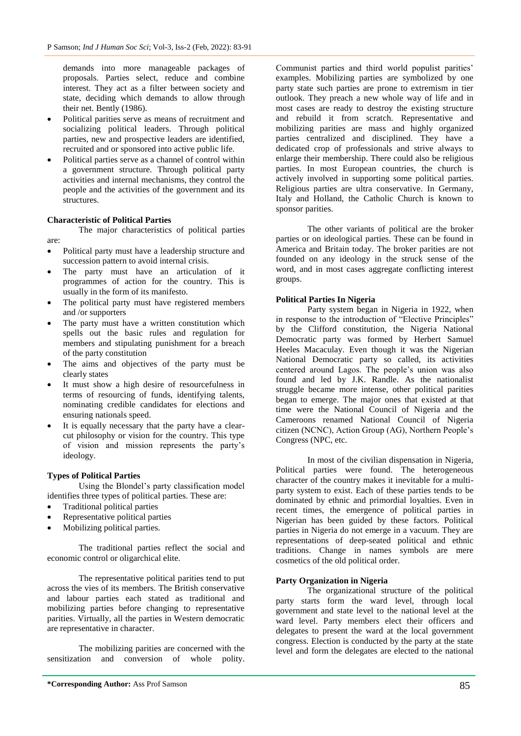demands into more manageable packages of proposals. Parties select, reduce and combine interest. They act as a filter between society and state, deciding which demands to allow through their net. Bently (1986).

- Political parities serve as means of recruitment and socializing political leaders. Through political parties, new and prospective leaders are identified, recruited and or sponsored into active public life.
- Political parties serve as a channel of control within a government structure. Through political party activities and internal mechanisms, they control the people and the activities of the government and its structures.

## **Characteristic of Political Parties**

The major characteristics of political parties are:

- Political party must have a leadership structure and succession pattern to avoid internal crisis.
- The party must have an articulation of it programmes of action for the country. This is usually in the form of its manifesto.
- The political party must have registered members and /or supporters
- The party must have a written constitution which spells out the basic rules and regulation for members and stipulating punishment for a breach of the party constitution
- The aims and objectives of the party must be clearly states
- It must show a high desire of resourcefulness in terms of resourcing of funds, identifying talents, nominating credible candidates for elections and ensuring nationals speed.
- It is equally necessary that the party have a clearcut philosophy or vision for the country. This type of vision and mission represents the party"s ideology.

## **Types of Political Parties**

Using the Blondel"s party classification model identifies three types of political parties. These are:

- Traditional political parties
- Representative political parties
- Mobilizing political parties.

The traditional parties reflect the social and economic control or oligarchical elite.

The representative political parities tend to put across the vies of its members. The British conservative and labour parties each stated as traditional and mobilizing parties before changing to representative parities. Virtually, all the parties in Western democratic are representative in character.

The mobilizing parities are concerned with the sensitization and conversion of whole polity.

Communist parties and third world populist parities" examples. Mobilizing parties are symbolized by one party state such parties are prone to extremism in tier outlook. They preach a new whole way of life and in most cases are ready to destroy the existing structure and rebuild it from scratch. Representative and mobilizing parities are mass and highly organized parties centralized and disciplined. They have a dedicated crop of professionals and strive always to enlarge their membership. There could also be religious parties. In most European countries, the church is actively involved in supporting some political parties. Religious parties are ultra conservative. In Germany, Italy and Holland, the Catholic Church is known to sponsor parities.

The other variants of political are the broker parties or on ideological parties. These can be found in America and Britain today. The broker parities are not founded on any ideology in the struck sense of the word, and in most cases aggregate conflicting interest groups.

## **Political Parties In Nigeria**

Party system began in Nigeria in 1922, when in response to the introduction of "Elective Principles" by the Clifford constitution, the Nigeria National Democratic party was formed by Herbert Samuel Heeles Macaculay. Even though it was the Nigerian National Democratic party so called, its activities centered around Lagos. The people"s union was also found and led by J.K. Randle. As the nationalist struggle became more intense, other political parities began to emerge. The major ones that existed at that time were the National Council of Nigeria and the Cameroons renamed National Council of Nigeria citizen (NCNC), Action Group (AG), Northern People"s Congress (NPC, etc.

In most of the civilian dispensation in Nigeria, Political parties were found. The heterogeneous character of the country makes it inevitable for a multiparty system to exist. Each of these parties tends to be dominated by ethnic and primordial loyalties. Even in recent times, the emergence of political parties in Nigerian has been guided by these factors. Political parties in Nigeria do not emerge in a vacuum. They are representations of deep-seated political and ethnic traditions. Change in names symbols are mere cosmetics of the old political order.

#### **Party Organization in Nigeria**

The organizational structure of the political party starts form the ward level, through local government and state level to the national level at the ward level. Party members elect their officers and delegates to present the ward at the local government congress. Election is conducted by the party at the state level and form the delegates are elected to the national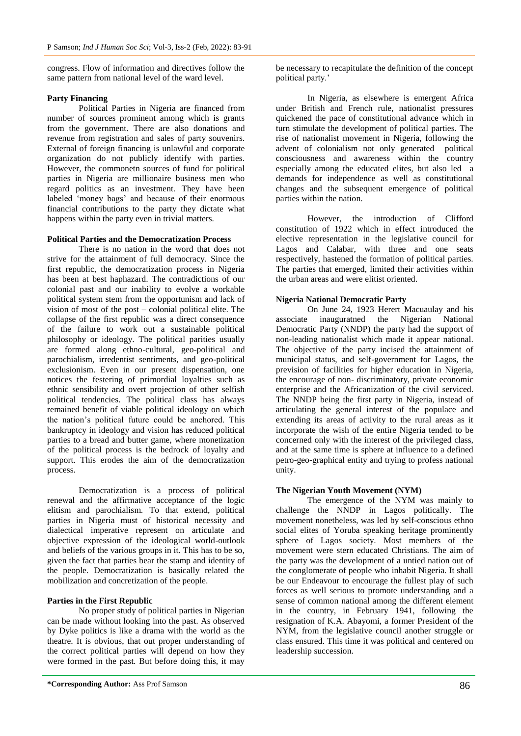congress. Flow of information and directives follow the same pattern from national level of the ward level.

#### **Party Financing**

Political Parties in Nigeria are financed from number of sources prominent among which is grants from the government. There are also donations and revenue from registration and sales of party souvenirs. External of foreign financing is unlawful and corporate organization do not publicly identify with parties. However, the commonetn sources of fund for political parties in Nigeria are millionaire business men who regard politics as an investment. They have been labeled "money bags" and because of their enormous financial contributions to the party they dictate what happens within the party even in trivial matters.

#### **Political Parties and the Democratization Process**

There is no nation in the word that does not strive for the attainment of full democracy. Since the first republic, the democratization process in Nigeria has been at best haphazard. The contradictions of our colonial past and our inability to evolve a workable political system stem from the opportunism and lack of vision of most of the post – colonial political elite. The collapse of the first republic was a direct consequence of the failure to work out a sustainable political philosophy or ideology. The political parities usually are formed along ethno-cultural, geo-political and parochialism, irredentist sentiments, and geo-political exclusionism. Even in our present dispensation, one notices the festering of primordial loyalties such as ethnic sensibility and overt projection of other selfish political tendencies. The political class has always remained benefit of viable political ideology on which the nation"s political future could be anchored. This bankruptcy in ideology and vision has reduced political parties to a bread and butter game, where monetization of the political process is the bedrock of loyalty and support. This erodes the aim of the democratization process.

Democratization is a process of political renewal and the affirmative acceptance of the logic elitism and parochialism. To that extend, political parties in Nigeria must of historical necessity and dialectical imperative represent on articulate and objective expression of the ideological world-outlook and beliefs of the various groups in it. This has to be so, given the fact that parties bear the stamp and identity of the people. Democratization is basically related the mobilization and concretization of the people.

## **Parties in the First Republic**

No proper study of political parties in Nigerian can be made without looking into the past. As observed by Dyke politics is like a drama with the world as the theatre. It is obvious, that out proper understanding of the correct political parties will depend on how they were formed in the past. But before doing this, it may

be necessary to recapitulate the definition of the concept political party.'

In Nigeria, as elsewhere is emergent Africa under British and French rule, nationalist pressures quickened the pace of constitutional advance which in turn stimulate the development of political parties. The rise of nationalist movement in Nigeria, following the advent of colonialism not only generated political consciousness and awareness within the country especially among the educated elites, but also led a demands for independence as well as constitutional changes and the subsequent emergence of political parties within the nation.

However, the introduction of Clifford constitution of 1922 which in effect introduced the elective representation in the legislative council for Lagos and Calabar, with three and one seats respectively, hastened the formation of political parties. The parties that emerged, limited their activities within the urban areas and were elitist oriented.

## **Nigeria National Democratic Party**

On June 24, 1923 Herert Macuaulay and his associate inauguratned the Nigerian National Democratic Party (NNDP) the party had the support of non-leading nationalist which made it appear national. The objective of the party incised the attainment of municipal status, and self-government for Lagos, the prevision of facilities for higher education in Nigeria, the encourage of non- discriminatory, private economic enterprise and the Africanization of the civil serviced. The NNDP being the first party in Nigeria, instead of articulating the general interest of the populace and extending its areas of activity to the rural areas as it incorporate the wish of the entire Nigeria tended to be concerned only with the interest of the privileged class, and at the same time is sphere at influence to a defined petro-geo-graphical entity and trying to profess national unity.

#### **The Nigerian Youth Movement (NYM)**

The emergence of the NYM was mainly to challenge the NNDP in Lagos politically. The movement nonetheless, was led by self-conscious ethno social elites of Yoruba speaking heritage prominently sphere of Lagos society. Most members of the movement were stern educated Christians. The aim of the party was the development of a untied nation out of the conglomerate of people who inhabit Nigeria. It shall be our Endeavour to encourage the fullest play of such forces as well serious to promote understanding and a sense of common national among the different element in the country, in February 1941, following the resignation of K.A. Abayomi, a former President of the NYM, from the legislative council another struggle or class ensured. This time it was political and centered on leadership succession.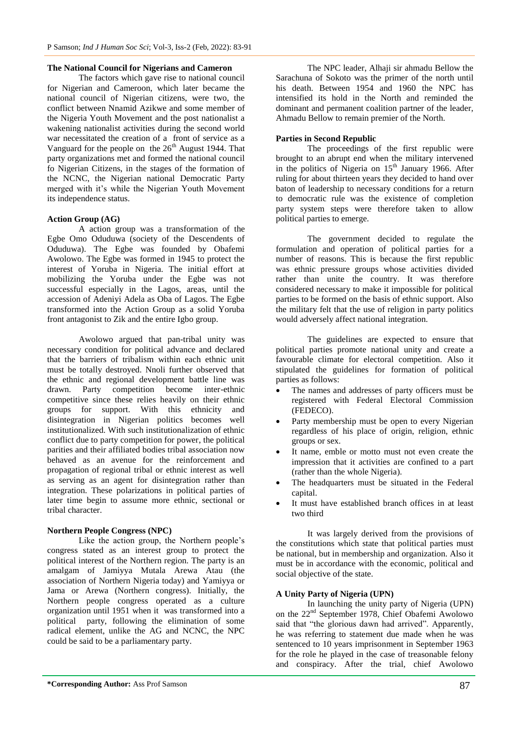#### **The National Council for Nigerians and Cameron**

The factors which gave rise to national council for Nigerian and Cameroon, which later became the national council of Nigerian citizens, were two, the conflict between Nnamid Azikwe and some member of the Nigeria Youth Movement and the post nationalist a wakening nationalist activities during the second world war necessitated the creation of a front of service as a Vanguard for the people on the  $26<sup>th</sup>$  August 1944. That party organizations met and formed the national council fo Nigerian Citizens, in the stages of the formation of the NCNC, the Nigerian national Democratic Party merged with it's while the Nigerian Youth Movement its independence status.

## **Action Group (AG)**

A action group was a transformation of the Egbe Omo Oduduwa (society of the Descendents of Oduduwa). The Egbe was founded by Obafemi Awolowo. The Egbe was formed in 1945 to protect the interest of Yoruba in Nigeria. The initial effort at mobilizing the Yoruba under the Egbe was not successful especially in the Lagos, areas, until the accession of Adeniyi Adela as Oba of Lagos. The Egbe transformed into the Action Group as a solid Yoruba front antagonist to Zik and the entire Igbo group.

Awolowo argued that pan-tribal unity was necessary condition for political advance and declared that the barriers of tribalism within each ethnic unit must be totally destroyed. Nnoli further observed that the ethnic and regional development battle line was drawn. Party competition become inter-ethnic competitive since these relies heavily on their ethnic groups for support. With this ethnicity and disintegration in Nigerian politics becomes well institutionalized. With such institutionalization of ethnic conflict due to party competition for power, the political parities and their affiliated bodies tribal association now behaved as an avenue for the reinforcement and propagation of regional tribal or ethnic interest as well as serving as an agent for disintegration rather than integration. These polarizations in political parties of later time begin to assume more ethnic, sectional or tribal character.

#### **Northern People Congress (NPC)**

Like the action group, the Northern people's congress stated as an interest group to protect the political interest of the Northern region. The party is an amalgam of Jamiyya Mutala Arewa Atau (the association of Northern Nigeria today) and Yamiyya or Jama or Arewa (Northern congress). Initially, the Northern people congress operated as a culture organization until 1951 when it was transformed into a political party, following the elimination of some radical element, unlike the AG and NCNC, the NPC could be said to be a parliamentary party.

The NPC leader, Alhaji sir ahmadu Bellow the Sarachuna of Sokoto was the primer of the north until his death. Between 1954 and 1960 the NPC has intensified its hold in the North and reminded the dominant and permanent coalition partner of the leader, Ahmadu Bellow to remain premier of the North.

#### **Parties in Second Republic**

The proceedings of the first republic were brought to an abrupt end when the military intervened in the politics of Nigeria on  $15<sup>th</sup>$  January 1966. After ruling for about thirteen years they decided to hand over baton of leadership to necessary conditions for a return to democratic rule was the existence of completion party system steps were therefore taken to allow political parties to emerge.

The government decided to regulate the formulation and operation of political parties for a number of reasons. This is because the first republic was ethnic pressure groups whose activities divided rather than unite the country. It was therefore considered necessary to make it impossible for political parties to be formed on the basis of ethnic support. Also the military felt that the use of religion in party politics would adversely affect national integration.

The guidelines are expected to ensure that political parties promote national unity and create a favourable climate for electoral competition. Also it stipulated the guidelines for formation of political parties as follows:

- The names and addresses of party officers must be registered with Federal Electoral Commission (FEDECO).
- Party membership must be open to every Nigerian regardless of his place of origin, religion, ethnic groups or sex.
- It name, emble or motto must not even create the impression that it activities are confined to a part (rather than the whole Nigeria).
- The headquarters must be situated in the Federal capital.
- It must have established branch offices in at least two third

It was largely derived from the provisions of the constitutions which state that political parties must be national, but in membership and organization. Also it must be in accordance with the economic, political and social objective of the state.

#### **A Unity Party of Nigeria (UPN)**

In launching the unity party of Nigeria (UPN) on the 22<sup>nd</sup> September 1978, Chief Obafemi Awolowo said that "the glorious dawn had arrived". Apparently, he was referring to statement due made when he was sentenced to 10 years imprisonment in September 1963 for the role he played in the case of treasonable felony and conspiracy. After the trial, chief Awolowo

**\*Corresponding Author:** Ass Prof Samson 87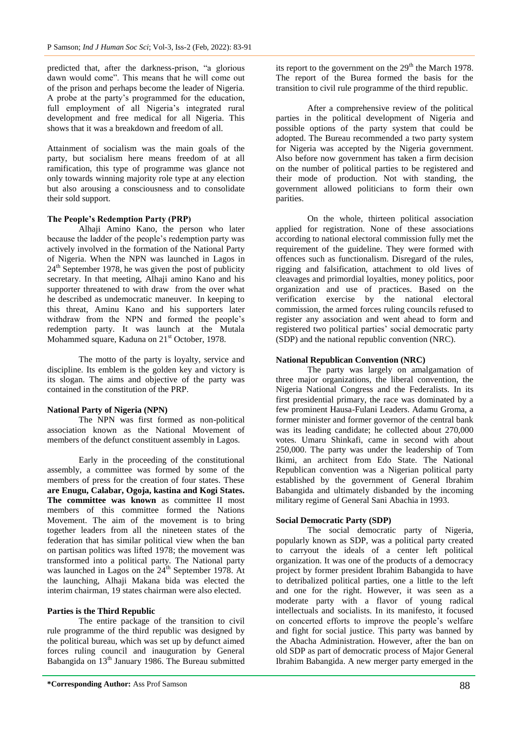predicted that, after the darkness-prison, "a glorious dawn would come". This means that he will come out of the prison and perhaps become the leader of Nigeria. A probe at the party"s programmed for the education, full employment of all Nigeria's integrated rural development and free medical for all Nigeria. This shows that it was a breakdown and freedom of all.

Attainment of socialism was the main goals of the party, but socialism here means freedom of at all ramification, this type of programme was glance not only towards winning majority role type at any election but also arousing a consciousness and to consolidate their sold support.

#### **The People's Redemption Party (PRP)**

Alhaji Amino Kano, the person who later because the ladder of the people"s redemption party was actively involved in the formation of the National Party of Nigeria. When the NPN was launched in Lagos in  $24<sup>th</sup>$  September 1978, he was given the post of publicity secretary. In that meeting, Alhaji amino Kano and his supporter threatened to with draw from the over what he described as undemocratic maneuver. In keeping to this threat, Aminu Kano and his supporters later withdraw from the NPN and formed the people's redemption party. It was launch at the Mutala Mohammed square, Kaduna on 21<sup>st</sup> October, 1978.

The motto of the party is loyalty, service and discipline. Its emblem is the golden key and victory is its slogan. The aims and objective of the party was contained in the constitution of the PRP.

#### **National Party of Nigeria (NPN)**

The NPN was first formed as non-political association known as the National Movement of members of the defunct constituent assembly in Lagos.

Early in the proceeding of the constitutional assembly, a committee was formed by some of the members of press for the creation of four states. These **are Enugu, Calabar, Ogoja, kastina and Kogi States. The committee was known** as committee II most members of this committee formed the Nations Movement. The aim of the movement is to bring together leaders from all the nineteen states of the federation that has similar political view when the ban on partisan politics was lifted 1978; the movement was transformed into a political party. The National party was launched in Lagos on the  $24<sup>th</sup>$  September 1978. At the launching, Alhaji Makana bida was elected the interim chairman, 19 states chairman were also elected.

#### **Parties is the Third Republic**

The entire package of the transition to civil rule programme of the third republic was designed by the political bureau, which was set up by defunct aimed forces ruling council and inauguration by General Babangida on 13<sup>th</sup> January 1986. The Bureau submitted

its report to the government on the  $29<sup>th</sup>$  the March 1978. The report of the Burea formed the basis for the transition to civil rule programme of the third republic.

After a comprehensive review of the political parties in the political development of Nigeria and possible options of the party system that could be adopted. The Bureau recommended a two party system for Nigeria was accepted by the Nigeria government. Also before now government has taken a firm decision on the number of political parties to be registered and their mode of production. Not with standing, the government allowed politicians to form their own parities.

On the whole, thirteen political association applied for registration. None of these associations according to national electoral commission fully met the requirement of the guideline. They were formed with offences such as functionalism. Disregard of the rules, rigging and falsification, attachment to old lives of cleavages and primordial loyalties, money politics, poor organization and use of practices. Based on the verification exercise by the national electoral commission, the armed forces ruling councils refused to register any association and went ahead to form and registered two political parties" social democratic party (SDP) and the national republic convention (NRC).

#### **National Republican Convention (NRC)**

The party was largely on amalgamation of three major organizations, the liberal convention, the Nigeria National Congress and the Federalists. In its first presidential primary, the race was dominated by a few prominent Hausa-Fulani Leaders. Adamu Groma, a former minister and former governor of the central bank was its leading candidate; he collected about 270,000 votes. Umaru Shinkafi, came in second with about 250,000. The party was under the leadership of Tom Ikimi, an architect from Edo State. The National Republican convention was a Nigerian political party established by the government of General Ibrahim Babangida and ultimately disbanded by the incoming military regime of General Sani Abachia in 1993.

#### **Social Democratic Party (SDP)**

The social democratic party of Nigeria, popularly known as SDP, was a political party created to carryout the ideals of a center left political organization. It was one of the products of a democracy project by former president Ibrahim Babangida to have to detribalized political parties, one a little to the left and one for the right. However, it was seen as a moderate party with a flavor of young radical intellectuals and socialists. In its manifesto, it focused on concerted efforts to improve the people"s welfare and fight for social justice. This party was banned by the Abacha Administration. However, after the ban on old SDP as part of democratic process of Major General Ibrahim Babangida. A new merger party emerged in the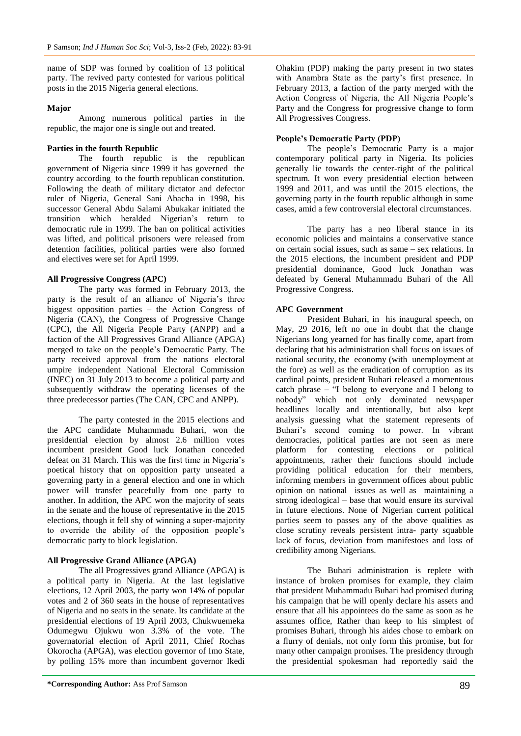name of SDP was formed by coalition of 13 political party. The revived party contested for various political posts in the 2015 Nigeria general elections.

#### **Major**

Among numerous political parties in the republic, the major one is single out and treated.

#### **Parties in the fourth Republic**

The fourth republic is the republican government of Nigeria since 1999 it has governed the country according to the fourth republican constitution. Following the death of military dictator and defector ruler of Nigeria, General Sani Abacha in 1998, his successor General Abdu Salami Abukakar initiated the transition which heralded Nigerian"s return to democratic rule in 1999. The ban on political activities was lifted, and political prisoners were released from detention facilities, political parties were also formed and electives were set for April 1999.

#### **All Progressive Congress (APC)**

The party was formed in February 2013, the party is the result of an alliance of Nigeria's three biggest opposition parties – the Action Congress of Nigeria (CAN), the Congress of Progressive Change (CPC), the All Nigeria People Party (ANPP) and a faction of the All Progressives Grand Alliance (APGA) merged to take on the people"s Democratic Party. The party received approval from the nations electoral umpire independent National Electoral Commission (INEC) on 31 July 2013 to become a political party and subsequently withdraw the operating licenses of the three predecessor parties (The CAN, CPC and ANPP).

The party contested in the 2015 elections and the APC candidate Muhammadu Buhari, won the presidential election by almost 2.6 million votes incumbent president Good luck Jonathan conceded defeat on 31 March. This was the first time in Nigeria's poetical history that on opposition party unseated a governing party in a general election and one in which power will transfer peacefully from one party to another. In addition, the APC won the majority of seats in the senate and the house of representative in the 2015 elections, though it fell shy of winning a super-majority to override the ability of the opposition people"s democratic party to block legislation.

#### **All Progressive Grand Alliance (APGA)**

The all Progressives grand Alliance (APGA) is a political party in Nigeria. At the last legislative elections, 12 April 2003, the party won 14% of popular votes and 2 of 360 seats in the house of representatives of Nigeria and no seats in the senate. Its candidate at the presidential elections of 19 April 2003, Chukwuemeka Odumegwu Ojukwu won 3.3% of the vote. The governatorial election of April 2011, Chief Rochas Okorocha (APGA), was election governor of Imo State, by polling 15% more than incumbent governor Ikedi

Ohakim (PDP) making the party present in two states with Anambra State as the party's first presence. In February 2013, a faction of the party merged with the Action Congress of Nigeria, the All Nigeria People"s Party and the Congress for progressive change to form All Progressives Congress.

## **People's Democratic Party (PDP)**

The people's Democratic Party is a major contemporary political party in Nigeria. Its policies generally lie towards the center-right of the political spectrum. It won every presidential election between 1999 and 2011, and was until the 2015 elections, the governing party in the fourth republic although in some cases, amid a few controversial electoral circumstances.

The party has a neo liberal stance in its economic policies and maintains a conservative stance on certain social issues, such as same – sex relations. In the 2015 elections, the incumbent president and PDP presidential dominance, Good luck Jonathan was defeated by General Muhammadu Buhari of the All Progressive Congress.

#### **APC Government**

President Buhari, in his inaugural speech, on May, 29 2016, left no one in doubt that the change Nigerians long yearned for has finally come, apart from declaring that his administration shall focus on issues of national security, the economy (with unemployment at the fore) as well as the eradication of corruption as its cardinal points, president Buhari released a momentous catch phrase – "I belong to everyone and I belong to nobody" which not only dominated newspaper headlines locally and intentionally, but also kept analysis guessing what the statement represents of Buhari"s second coming to power. In vibrant democracies, political parties are not seen as mere platform for contesting elections or political appointments, rather their functions should include providing political education for their members, informing members in government offices about public opinion on national issues as well as maintaining a strong ideological – base that would ensure its survival in future elections. None of Nigerian current political parties seem to passes any of the above qualities as close scrutiny reveals persistent intra- party squabble lack of focus, deviation from manifestoes and loss of credibility among Nigerians.

The Buhari administration is replete with instance of broken promises for example, they claim that president Muhammadu Buhari had promised during his campaign that he will openly declare his assets and ensure that all his appointees do the same as soon as he assumes office, Rather than keep to his simplest of promises Buhari, through his aides chose to embark on a flurry of denials, not only form this promise, but for many other campaign promises. The presidency through the presidential spokesman had reportedly said the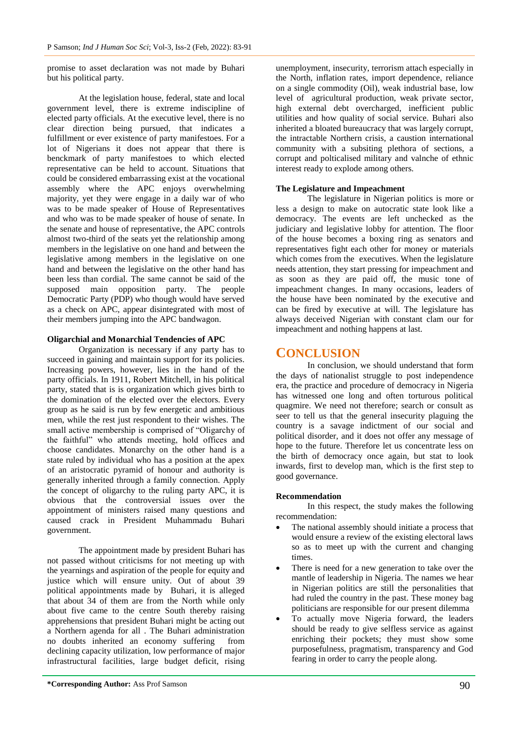promise to asset declaration was not made by Buhari but his political party.

At the legislation house, federal, state and local government level, there is extreme indiscipline of elected party officials. At the executive level, there is no clear direction being pursued, that indicates a fulfillment or ever existence of party manifestoes. For a lot of Nigerians it does not appear that there is benckmark of party manifestoes to which elected representative can be held to account. Situations that could be considered embarrassing exist at the vocational assembly where the APC enjoys overwhelming majority, yet they were engage in a daily war of who was to be made speaker of House of Representatives and who was to be made speaker of house of senate. In the senate and house of representative, the APC controls almost two-third of the seats yet the relationship among members in the legislative on one hand and between the legislative among members in the legislative on one hand and between the legislative on the other hand has been less than cordial. The same cannot be said of the supposed main opposition party. The people Democratic Party (PDP) who though would have served as a check on APC, appear disintegrated with most of their members jumping into the APC bandwagon.

## **Oligarchial and Monarchial Tendencies of APC**

Organization is necessary if any party has to succeed in gaining and maintain support for its policies. Increasing powers, however, lies in the hand of the party officials. In 1911, Robert Mitchell, in his political party, stated that is is organization which gives birth to the domination of the elected over the electors. Every group as he said is run by few energetic and ambitious men, while the rest just respondent to their wishes. The small active membership is comprised of "Oligarchy of the faithful" who attends meeting, hold offices and choose candidates. Monarchy on the other hand is a state ruled by individual who has a position at the apex of an aristocratic pyramid of honour and authority is generally inherited through a family connection. Apply the concept of oligarchy to the ruling party APC, it is obvious that the controversial issues over the appointment of ministers raised many questions and caused crack in President Muhammadu Buhari government.

The appointment made by president Buhari has not passed without criticisms for not meeting up with the yearnings and aspiration of the people for equity and justice which will ensure unity. Out of about 39 political appointments made by Buhari, it is alleged that about 34 of them are from the North while only about five came to the centre South thereby raising apprehensions that president Buhari might be acting out a Northern agenda for all . The Buhari administration no doubts inherited an economy suffering from declining capacity utilization, low performance of major infrastructural facilities, large budget deficit, rising

unemployment, insecurity, terrorism attach especially in the North, inflation rates, import dependence, reliance on a single commodity (Oil), weak industrial base, low level of agricultural production, weak private sector, high external debt overcharged, inefficient public utilities and how quality of social service. Buhari also inherited a bloated bureaucracy that was largely corrupt, the intractable Northern crisis, a caustion international community with a subsiting plethora of sections, a corrupt and polticalised military and valnche of ethnic interest ready to explode among others.

#### **The Legislature and Impeachment**

The legislature in Nigerian politics is more or less a design to make on autocratic state look like a democracy. The events are left unchecked as the judiciary and legislative lobby for attention. The floor of the house becomes a boxing ring as senators and representatives fight each other for money or materials which comes from the executives. When the legislature needs attention, they start pressing for impeachment and as soon as they are paid off, the music tone of impeachment changes. In many occasions, leaders of the house have been nominated by the executive and can be fired by executive at will. The legislature has always deceived Nigerian with constant clam our for impeachment and nothing happens at last.

## **CONCLUSION**

In conclusion, we should understand that form the days of nationalist struggle to post independence era, the practice and procedure of democracy in Nigeria has witnessed one long and often torturous political quagmire. We need not therefore; search or consult as seer to tell us that the general insecurity plaguing the country is a savage indictment of our social and political disorder, and it does not offer any message of hope to the future. Therefore let us concentrate less on the birth of democracy once again, but stat to look inwards, first to develop man, which is the first step to good governance.

#### **Recommendation**

In this respect, the study makes the following recommendation:

- The national assembly should initiate a process that would ensure a review of the existing electoral laws so as to meet up with the current and changing times.
- There is need for a new generation to take over the mantle of leadership in Nigeria. The names we hear in Nigerian politics are still the personalities that had ruled the country in the past. These money bag politicians are responsible for our present dilemma
- To actually move Nigeria forward, the leaders should be ready to give selfless service as against enriching their pockets; they must show some purposefulness, pragmatism, transparency and God fearing in order to carry the people along.